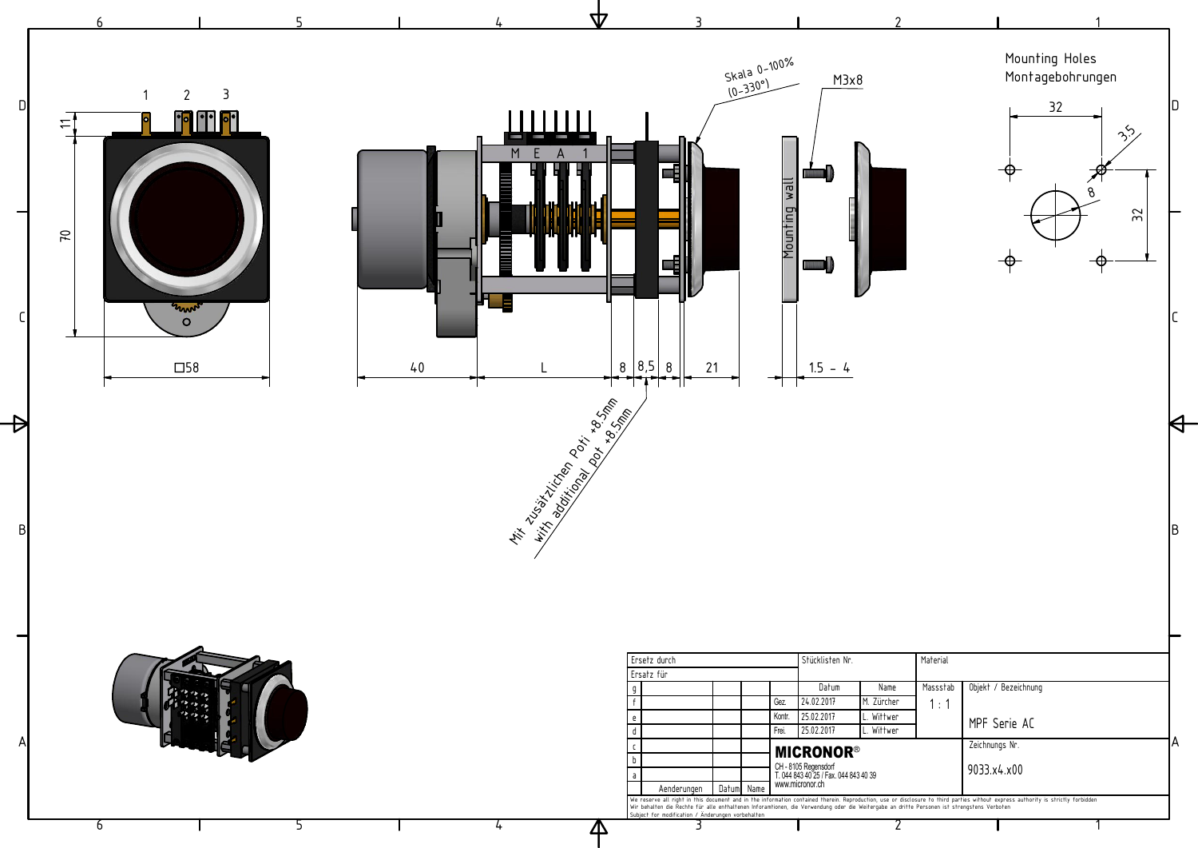

4

5

6